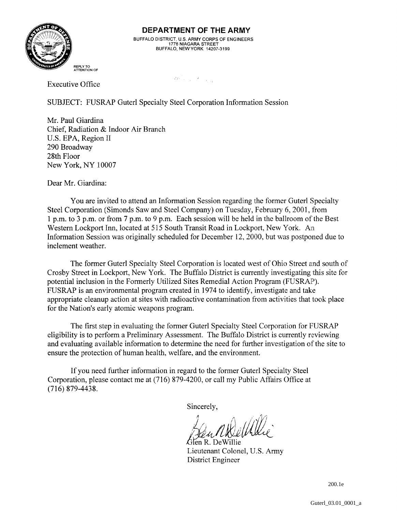

BUFFALO DISTRICT, U.S. ARMY CORPS OF ENGINEERS<br>1776 NIAGARA STREET<br>BUFFALO, NEW YORK 14207-3199

 $\label{eq:2d} \mathcal{L} \mathcal{L} \left( \begin{smallmatrix} 1 & & & \\ & \ddots & & \\ & & \ddots & \\ & & & 1 \end{smallmatrix} \right) = \mathcal{L} \left( \begin{smallmatrix} 1 & & & \\ & \ddots & & \\ & & \ddots & \\ & & & 1 \end{smallmatrix} \right) \left( \begin{smallmatrix} 1 & & & \\ & \ddots & & \\ & & & 1 \end{smallmatrix} \right)$ 

Executive Office

SUBJECT: FUSRAP Guterl Specialty Steel Corporation Information Session

Mr. Paul Giardina Chief, Radiation &: Indoor Air Branch U.S. EPA, Region II 290 Broadway 28th Floor New York, NY 10007

Dear Mr. Giardina:

You are invited to attend an Information Session regarding the former Guterl Specialty Steel Corporation (Simonds Saw and Steel Company) on Tuesday, February 6, 2001, from 1 p.m. to 3 p.m. or from 7 p.m. to 9 p.m. Each session will be held in the ballroom of the Best Western Lockport Inn, located at 515 South Transit Road in Lockport, New York. An Information Session was originally scheduled for December 12,2000, but was postponed due to inclement weather.

The former Guterl Specialty Steel Corporation is located west of Ohio Street and south of Crosby Street in Lockport, New York. The Buffalo District is currently investigating this site for potential inclusion in the Formerly Utilized Sites Remedial Axtion Program (FUSRAP'). FUSRAP is an environmental program created in 1974 to identify, investigate and take appropriate cleanup action at sites with radioactive contamination from activities that took place for the Nation's early atomic weapons program.

The first step in evaluating the former Guterl Specialty Steel Corporaition for FUSRAP eligibility is to perform a Preliminary Assessment. The Buffalo District is currently reviewing and evaluating available information to determine the need for further investigation of the site to ensure the protection of human health, welfare, and the environment.

If you need further information in regard to the former Guterl Specialty Steel Corporation, please contact me at (716) 879-4200, or call my Public Affairs Office at (716) 879-4438.

Lieutenant Colonel, U.S. Army District Engineer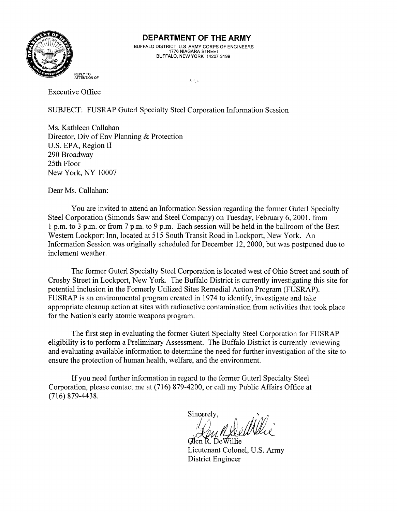

BUFFALO DISTRICT, U.S. ARMY CORPS OF ENGINEERS 1776 NIAGARA STREET' BUFFALO, NEW YORK 14207-3199

*.I* . .

Executive Office

SUBJECT: FUSRAP Guterl Specialty Steel Corporation Information Session

Ms. Kathleen Callahan Director, Div of Env Planning & Protection U.S. EPA, Region I1 290 Broadway 25th Floor New York, NY 10007

Dear Ms. Callahan:

You are invited to attend an Information Session regarding the former Guterl Specialty Steel Corporation (Simonds Saw and Steel Company) on Tuesday, February 6, 2001, from 1 p.m. to 3 p.m. or from 7 p.m. to 9 p.m. Each session will be held in the ballroom of the Best Western Lockport Inn, located at 515 South Transit Road in Lockport, New York. An Information Session was originally scheduled for December 12, 2000, but was postponed due to inclement weather.

The former Guterl Specialty Steel Corporation is located west of Ohio Street and south of Crosby Street in Lockport, New York. The Buffalo District is currently investigating this site for potential inclusion in the Formerly Utilized Sites Remedial Action Program (FUSRAP). FUSRAP is an environmental program created in 1974 to identify, investigate and take appropriate cleanup action at sites with radioactive contamination from activities that took place for the Nation's early atomic weapons program.

The first step in evaluating the former Guterl Specialty Steel Corporation for FUSRAP eligibility is to perform a Preliminary Assessment. The Buffalo District is currently reviewing and evaluating available information to determine the need for further investigation of the site to ensure the protection of human health, welfare, and the environment.

If you need further information in regard to the former Guterl Specialty Steel Corporation, please contact me at (716) 879-4200, or call my Public Affairs (Office at (7 16) 879-443 8.

Clen R. De Willie Lieutenant Colonel, U.S. Amy District Engineer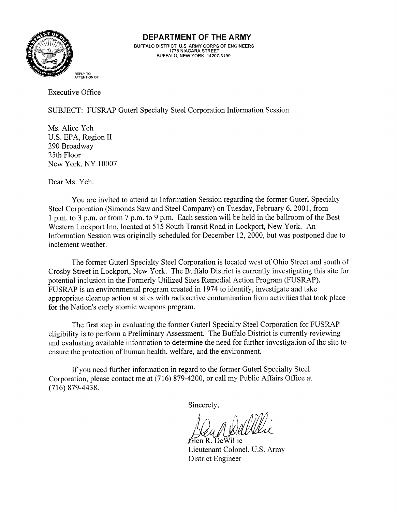

BUFFALO DISTRICT, U.S. ARMY CORPS OF ENGINEERS 1776 NIAGARA STREET BUFFALO. NEW YORK **14207-3199** 

Executive Office

SUBJECT: FUSRAP Guterl Specialty Steel Corporation Information Session

Ms. Alice Yeh U.S. EPA, Region I1 290 Broadway 25th Floor New York, NY 10007

Dear Ms. Yeh:

You are invited to attend an Information Session regarding the former Guterl Specialty Steel Corporation (Simonds Saw and Steel Company) on Tuesday, February 6, 2001, from 1 p.m. to 3 p.m. or from 7 p.m. to 9 p.m. Each session will be held in the ballroom of the Best Western Lockport Inn, located at 515 South Transit Road in Lockport, New York. An Information Session was originally scheduled for December 12, 2000, but was postponed due to inclement weather.

The former Guterl Specialty Steel Corporation is located west of Ohio Street and south of Crosby Street in Lockport, New York. The Buffalo District is currently investigating this site for potential inclusion in the Formerly Utilized Sites Remedial Action Program (FUSRAP). FUSRAP is an environmental program created in 1974 to identify, investigate and take appropriate cleanup action at sites with radioactive contamination from activities that took place for the Nation's early atomic weapons program.

The first step in evaluating the former Guterl Specialty Steel Corporation for FUSRAP eligibility is to perform a Preliminary Assessment. The Buffalo District is currently reviewing and evaluating available information to determine the need for further investigation of the site to ensure the protection of human health, welfare, and the environment.

If you need further information in regard to the former Guterl Specialty Steel Corporation, please contact me at (716) 879-4200, or call my Public Affairs Office at (716) 879-4438.

Glen R. DeWillie Lieutenant Colonel, U.S. Army District Engineer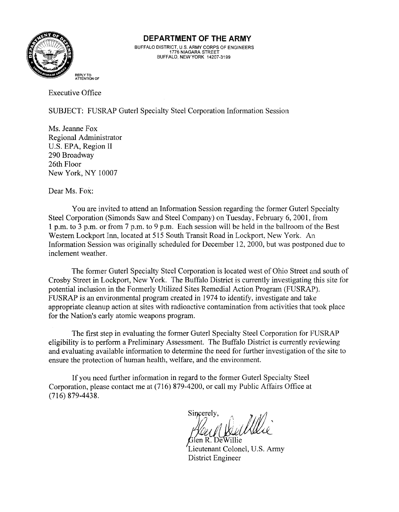

BUFFALO DISTRICT, U.S. ARMY CORPS OF ENGINEERS<br>1776 NIAGARA STREET<br>BUFFALO, NEW YORK 14207-3199

Executive Office

SUBJECT: FUSRAP Guterl Specialty Steel Corporation Information Session

Ms. Jeanne Fox Regional Administrator U.S. EPA, Region II 290 Broadway 26th Floor New York, NY 10007

Dear Ms. Fox:

You are invited to attend an Information Session regarding the former Guterl Specialty Steel Corporation (Simonds Saw and Steel Company) on Tuesday, February 6, 2001, from 1 p.m. to **3** p.m. or from 7 p.m. to 9 p.m. Each session will be held in the ballroon~ of'the Best Western Lockport Inn, located at 515 South Transit Road in Lockport, New York. An Information Session was originally scheduled for December 12, 2000, but was postponed due to inclement weather.

The former Guterl Specialty Steel Corporation is located west of Ohio Street and south of Crosby Street in Lockport, New York. The Buffalo District is currently investigating this site for potential inclusion in the Formerly Utilized Sites Remedial Action Program (FUSRAP). FUSRAP is an environmental program created in 1974 to identify, investigate and take appropriate cleanup action at sites with radioactive contamination from activities that took place for the Nation's early atomic weapons program.

The first step in evaluating the former Guterl Specialty Steel Corporation for FUSRAP eligibility is to perform a Preliminary Assessment. The Buffalo District is currently reviewing and evaluating available information to determine the need for further investigation of the site to ensure the protection of human health, welfare, and the environment.

If you need further information in regard to the former Guterl Specialty Steel Corporation, please contact me at (716) 879-4200, or call my Public Affairs Office at (716) 879-4438.

Sincerely.

len R. DeWillie Lieutenant Colonel, U.S. Army District Engineer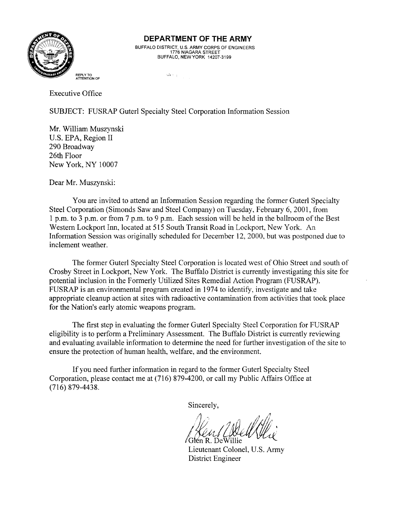

BUFFALO DISTRICT, U.S. ARMY CORPS OF ENGINEERS<br>1776 NIAGARA STREET<br>BUFFALO, NEW YORK 14207-3199

**REPLY TO** .,, t **ATTENTION OF** 

Executive Office

SUBJECT: FUSRAP Guterl Specialty Steel Corporation Information Session

Mr. William Muszynski U.S. EPA, Region I1 290 Broadway 26th Floor New York, NY 10007

Dear Mr. Muszynski:

You are invited to attend an Information Session regarding the former Guterl Specialty Steel Corporation (Simonds Saw and Steel Company) on Tuesday, February 6, 2001, from 1 p.m. to **3** p.m. or from 7 p.m. to 9 p.m. Each session will be held in the ballroom of'the Best Western Lockport Inn, located at 515 South Transit Road in Lockport, New York. An Information Session was originally scheduled for December 12,2000, but was postponed due to inclement weather.

The former Guterl Specialty Steel Corporation is located west of Ohio Street and south of Crosby Street in Lockport, New York. The Buffalo District is currently investigating this site for potential inclusion in the Formerly Utilized Sites Remedial Action Program (FUSRAF'). FUSRAP is an environmental program created in 1974 to identify, investigate and take. appropriate cleanup action at sites with radioactive contamination from activities that took place for the Nation's early atomic weapons program.

The first step in evaluating the former Guterl Specialty Steel Corporation for FUSRAP eligibility is to perform a Preliminary Assessment. The Buffalo District is currently reviewing and evaluating available information to determine the need for further investigation of the site to ensure the protection of human health, welfare, and the environment.

If you need further information in regard to the former Guterl Specialty Steel Corporation, please contact me at (716) 879-4200, or call my Public Affairs Office at  $(716)$  879-4438.

/Glén R. DeWillie

Lieutenant Colonel, U.S. Army District Engineer